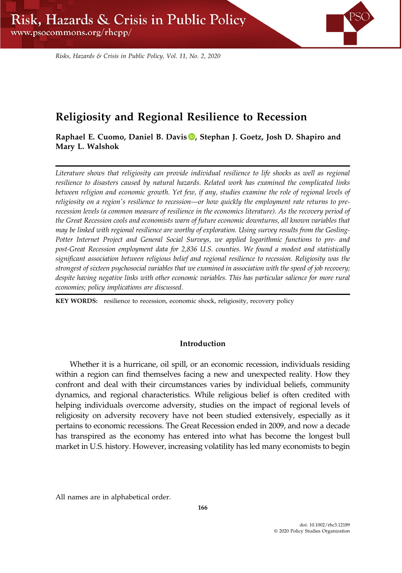

Risks, Hazards & Crisis in Public Policy, Vol. 11, No. 2, 2020

# Religiosity and Regional Resilience to Recession

Raphael E. Cuomo, Daniel B. Davis **O**, Stephan J. Goetz, Josh D. Shapiro and Mary L. Walshok

Literature shows that religiosity can provide individual resilience to life shocks as well as regional resilience to disasters caused by natural hazards. Related work has examined the complicated links between religion and economic growth. Yet few, if any, studies examine the role of regional levels of religiosity on a region's resilience to recession—or how quickly the employment rate returns to pre‐ recession levels (a common measure of resilience in the economics literature). As the recovery period of the Great Recession cools and economists warn of future economic downturns, all known variables that may be linked with regional resilience are worthy of exploration. Using survey results from the Gosling‐ Potter Internet Project and General Social Surveys, we applied logarithmic functions to pre‐ and post‐Great Recession employment data for 2,836 U.S. counties. We found a modest and statistically significant association between religious belief and regional resilience to recession. Religiosity was the strongest of sixteen psychosocial variables that we examined in association with the speed of job recovery; despite having negative links with other economic variables. This has particular salience for more rural economies; policy implications are discussed.

KEY WORDS: resilience to recession, economic shock, religiosity, recovery policy

### Introduction

Whether it is a hurricane, oil spill, or an economic recession, individuals residing within a region can find themselves facing a new and unexpected reality. How they confront and deal with their circumstances varies by individual beliefs, community dynamics, and regional characteristics. While religious belief is often credited with helping individuals overcome adversity, studies on the impact of regional levels of religiosity on adversity recovery have not been studied extensively, especially as it pertains to economic recessions. The Great Recession ended in 2009, and now a decade has transpired as the economy has entered into what has become the longest bull market in U.S. history. However, increasing volatility has led many economists to begin

All names are in alphabetical order.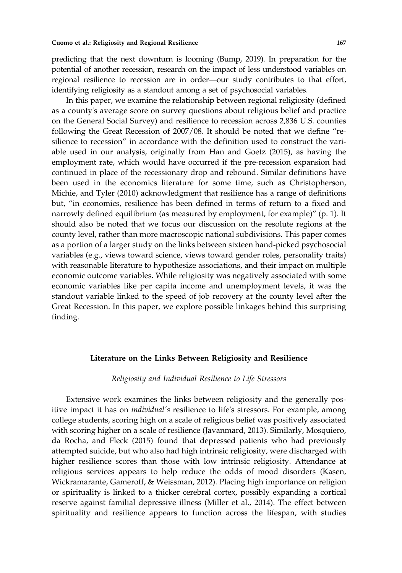predicting that the next downturn is looming (Bump, 2019). In preparation for the potential of another recession, research on the impact of less understood variables on regional resilience to recession are in order—our study contributes to that effort, identifying religiosity as a standout among a set of psychosocial variables.

In this paper, we examine the relationship between regional religiosity (defined as a county's average score on survey questions about religious belief and practice on the General Social Survey) and resilience to recession across 2,836 U.S. counties following the Great Recession of 2007/08. It should be noted that we define "resilience to recession" in accordance with the definition used to construct the variable used in our analysis, originally from Han and Goetz (2015), as having the employment rate, which would have occurred if the pre‐recession expansion had continued in place of the recessionary drop and rebound. Similar definitions have been used in the economics literature for some time, such as Christopherson, Michie, and Tyler (2010) acknowledgment that resilience has a range of definitions but, "in economics, resilience has been defined in terms of return to a fixed and narrowly defined equilibrium (as measured by employment, for example)" (p. 1). It should also be noted that we focus our discussion on the resolute regions at the county level, rather than more macroscopic national subdivisions. This paper comes as a portion of a larger study on the links between sixteen hand‐picked psychosocial variables (e.g., views toward science, views toward gender roles, personality traits) with reasonable literature to hypothesize associations, and their impact on multiple economic outcome variables. While religiosity was negatively associated with some economic variables like per capita income and unemployment levels, it was the standout variable linked to the speed of job recovery at the county level after the Great Recession. In this paper, we explore possible linkages behind this surprising finding.

#### Literature on the Links Between Religiosity and Resilience

### Religiosity and Individual Resilience to Life Stressors

Extensive work examines the links between religiosity and the generally positive impact it has on *individual's* resilience to life's stressors. For example, among college students, scoring high on a scale of religious belief was positively associated with scoring higher on a scale of resilience (Javanmard, 2013). Similarly, Mosquiero, da Rocha, and Fleck (2015) found that depressed patients who had previously attempted suicide, but who also had high intrinsic religiosity, were discharged with higher resilience scores than those with low intrinsic religiosity. Attendance at religious services appears to help reduce the odds of mood disorders (Kasen, Wickramarante, Gameroff, & Weissman, 2012). Placing high importance on religion or spirituality is linked to a thicker cerebral cortex, possibly expanding a cortical reserve against familial depressive illness (Miller et al., 2014). The effect between spirituality and resilience appears to function across the lifespan, with studies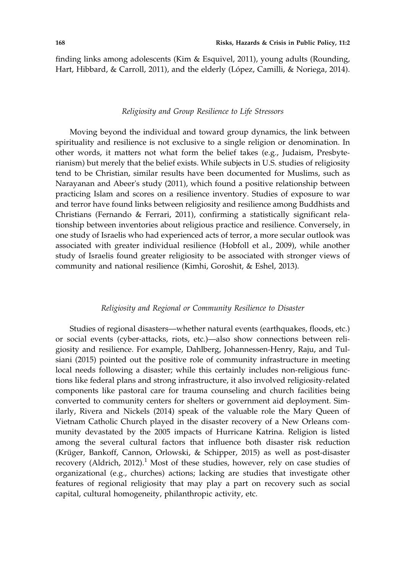finding links among adolescents (Kim & Esquivel, 2011), young adults (Rounding, Hart, Hibbard, & Carroll, 2011), and the elderly (López, Camilli, & Noriega, 2014).

### Religiosity and Group Resilience to Life Stressors

Moving beyond the individual and toward group dynamics, the link between spirituality and resilience is not exclusive to a single religion or denomination. In other words, it matters not what form the belief takes (e.g., Judaism, Presbyterianism) but merely that the belief exists. While subjects in U.S. studies of religiosity tend to be Christian, similar results have been documented for Muslims, such as Narayanan and Abeer's study (2011), which found a positive relationship between practicing Islam and scores on a resilience inventory. Studies of exposure to war and terror have found links between religiosity and resilience among Buddhists and Christians (Fernando & Ferrari, 2011), confirming a statistically significant relationship between inventories about religious practice and resilience. Conversely, in one study of Israelis who had experienced acts of terror, a more secular outlook was associated with greater individual resilience (Hobfoll et al., 2009), while another study of Israelis found greater religiosity to be associated with stronger views of community and national resilience (Kimhi, Goroshit, & Eshel, 2013).

#### Religiosity and Regional or Community Resilience to Disaster

Studies of regional disasters—whether natural events (earthquakes, floods, etc.) or social events (cyber‐attacks, riots, etc.)—also show connections between religiosity and resilience. For example, Dahlberg, Johannessen‐Henry, Raju, and Tulsiani (2015) pointed out the positive role of community infrastructure in meeting local needs following a disaster; while this certainly includes non-religious functions like federal plans and strong infrastructure, it also involved religiosity‐related components like pastoral care for trauma counseling and church facilities being converted to community centers for shelters or government aid deployment. Similarly, Rivera and Nickels (2014) speak of the valuable role the Mary Queen of Vietnam Catholic Church played in the disaster recovery of a New Orleans community devastated by the 2005 impacts of Hurricane Katrina. Religion is listed among the several cultural factors that influence both disaster risk reduction (Krüger, Bankoff, Cannon, Orlowski, & Schipper, 2015) as well as post‐disaster recovery (Aldrich, 2012).<sup>1</sup> Most of these studies, however, rely on case studies of organizational (e.g., churches) actions; lacking are studies that investigate other features of regional religiosity that may play a part on recovery such as social capital, cultural homogeneity, philanthropic activity, etc.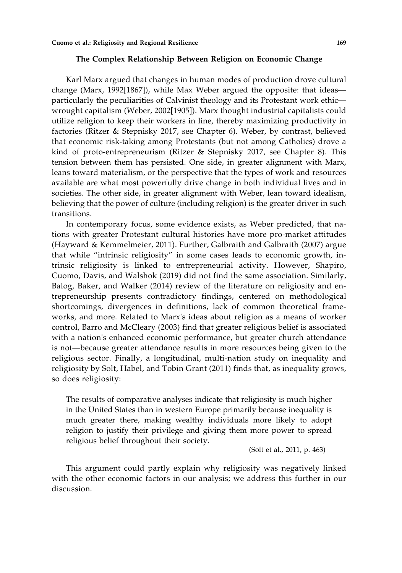### The Complex Relationship Between Religion on Economic Change

Karl Marx argued that changes in human modes of production drove cultural change (Marx, 1992[1867]), while Max Weber argued the opposite: that ideas particularly the peculiarities of Calvinist theology and its Protestant work ethic wrought capitalism (Weber, 2002[1905]). Marx thought industrial capitalists could utilize religion to keep their workers in line, thereby maximizing productivity in factories (Ritzer & Stepnisky 2017, see Chapter 6). Weber, by contrast, believed that economic risk‐taking among Protestants (but not among Catholics) drove a kind of proto-entrepreneurism (Ritzer & Stepnisky 2017, see Chapter 8). This tension between them has persisted. One side, in greater alignment with Marx, leans toward materialism, or the perspective that the types of work and resources available are what most powerfully drive change in both individual lives and in societies. The other side, in greater alignment with Weber, lean toward idealism, believing that the power of culture (including religion) is the greater driver in such transitions.

In contemporary focus, some evidence exists, as Weber predicted, that nations with greater Protestant cultural histories have more pro‐market attitudes (Hayward & Kemmelmeier, 2011). Further, Galbraith and Galbraith (2007) argue that while "intrinsic religiosity" in some cases leads to economic growth, intrinsic religiosity is linked to entrepreneurial activity. However, Shapiro, Cuomo, Davis, and Walshok (2019) did not find the same association. Similarly, Balog, Baker, and Walker (2014) review of the literature on religiosity and entrepreneurship presents contradictory findings, centered on methodological shortcomings, divergences in definitions, lack of common theoretical frameworks, and more. Related to Marx's ideas about religion as a means of worker control, Barro and McCleary (2003) find that greater religious belief is associated with a nation's enhanced economic performance, but greater church attendance is not—because greater attendance results in more resources being given to the religious sector. Finally, a longitudinal, multi-nation study on inequality and religiosity by Solt, Habel, and Tobin Grant (2011) finds that, as inequality grows, so does religiosity:

The results of comparative analyses indicate that religiosity is much higher in the United States than in western Europe primarily because inequality is much greater there, making wealthy individuals more likely to adopt religion to justify their privilege and giving them more power to spread religious belief throughout their society.

(Solt et al., 2011, p. 463)

This argument could partly explain why religiosity was negatively linked with the other economic factors in our analysis; we address this further in our discussion.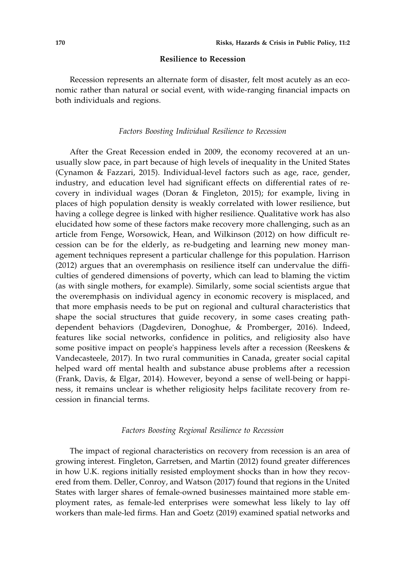#### Resilience to Recession

Recession represents an alternate form of disaster, felt most acutely as an economic rather than natural or social event, with wide‐ranging financial impacts on both individuals and regions.

#### Factors Boosting Individual Resilience to Recession

After the Great Recession ended in 2009, the economy recovered at an unusually slow pace, in part because of high levels of inequality in the United States (Cynamon & Fazzari, 2015). Individual‐level factors such as age, race, gender, industry, and education level had significant effects on differential rates of recovery in individual wages (Doran & Fingleton, 2015); for example, living in places of high population density is weakly correlated with lower resilience, but having a college degree is linked with higher resilience. Qualitative work has also elucidated how some of these factors make recovery more challenging, such as an article from Fenge, Worsowick, Hean, and Wilkinson (2012) on how difficult recession can be for the elderly, as re‐budgeting and learning new money management techniques represent a particular challenge for this population. Harrison (2012) argues that an overemphasis on resilience itself can undervalue the difficulties of gendered dimensions of poverty, which can lead to blaming the victim (as with single mothers, for example). Similarly, some social scientists argue that the overemphasis on individual agency in economic recovery is misplaced, and that more emphasis needs to be put on regional and cultural characteristics that shape the social structures that guide recovery, in some cases creating pathdependent behaviors (Dagdeviren, Donoghue, & Promberger, 2016). Indeed, features like social networks, confidence in politics, and religiosity also have some positive impact on people's happiness levels after a recession (Reeskens & Vandecasteele, 2017). In two rural communities in Canada, greater social capital helped ward off mental health and substance abuse problems after a recession (Frank, Davis, & Elgar, 2014). However, beyond a sense of well‐being or happiness, it remains unclear is whether religiosity helps facilitate recovery from recession in financial terms.

#### Factors Boosting Regional Resilience to Recession

The impact of regional characteristics on recovery from recession is an area of growing interest. Fingleton, Garretsen, and Martin (2012) found greater differences in how U.K. regions initially resisted employment shocks than in how they recovered from them. Deller, Conroy, and Watson (2017) found that regions in the United States with larger shares of female‐owned businesses maintained more stable employment rates, as female‐led enterprises were somewhat less likely to lay off workers than male‐led firms. Han and Goetz (2019) examined spatial networks and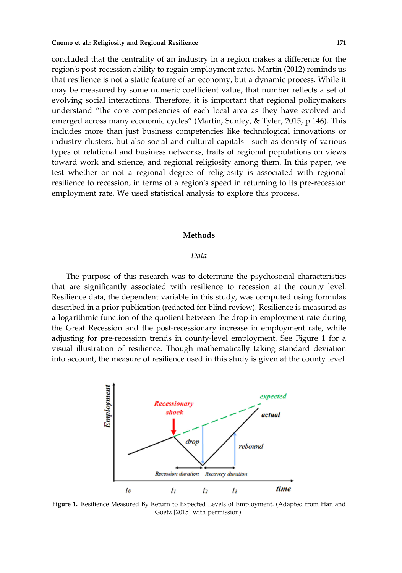concluded that the centrality of an industry in a region makes a difference for the region's post-recession ability to regain employment rates. Martin (2012) reminds us that resilience is not a static feature of an economy, but a dynamic process. While it may be measured by some numeric coefficient value, that number reflects a set of evolving social interactions. Therefore, it is important that regional policymakers understand "the core competencies of each local area as they have evolved and emerged across many economic cycles" (Martin, Sunley, & Tyler, 2015, p.146). This includes more than just business competencies like technological innovations or industry clusters, but also social and cultural capitals—such as density of various types of relational and business networks, traits of regional populations on views toward work and science, and regional religiosity among them. In this paper, we test whether or not a regional degree of religiosity is associated with regional resilience to recession, in terms of a region's speed in returning to its pre‐recession employment rate. We used statistical analysis to explore this process.

#### Methods

#### Data

The purpose of this research was to determine the psychosocial characteristics that are significantly associated with resilience to recession at the county level. Resilience data, the dependent variable in this study, was computed using formulas described in a prior publication (redacted for blind review). Resilience is measured as a logarithmic function of the quotient between the drop in employment rate during the Great Recession and the post-recessionary increase in employment rate, while adjusting for pre‐recession trends in county‐level employment. See Figure 1 for a visual illustration of resilience. Though mathematically taking standard deviation into account, the measure of resilience used in this study is given at the county level.



Figure 1. Resilience Measured By Return to Expected Levels of Employment. (Adapted from Han and Goetz [2015] with permission).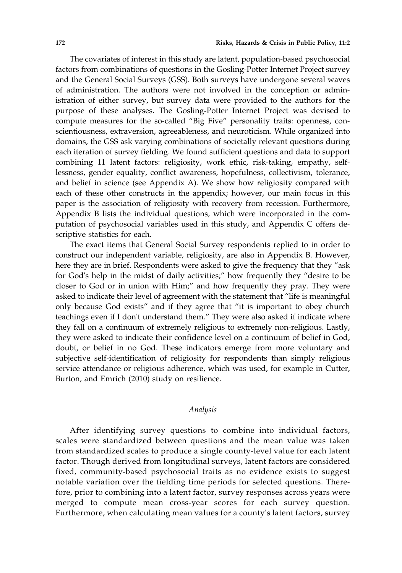The covariates of interest in this study are latent, population‐based psychosocial factors from combinations of questions in the Gosling‐Potter Internet Project survey and the General Social Surveys (GSS). Both surveys have undergone several waves of administration. The authors were not involved in the conception or administration of either survey, but survey data were provided to the authors for the purpose of these analyses. The Gosling‐Potter Internet Project was devised to compute measures for the so-called "Big Five" personality traits: openness, conscientiousness, extraversion, agreeableness, and neuroticism. While organized into domains, the GSS ask varying combinations of societally relevant questions during each iteration of survey fielding. We found sufficient questions and data to support combining 11 latent factors: religiosity, work ethic, risk-taking, empathy, selflessness, gender equality, conflict awareness, hopefulness, collectivism, tolerance, and belief in science (see Appendix A). We show how religiosity compared with each of these other constructs in the appendix; however, our main focus in this paper is the association of religiosity with recovery from recession. Furthermore, Appendix B lists the individual questions, which were incorporated in the computation of psychosocial variables used in this study, and Appendix C offers descriptive statistics for each.

The exact items that General Social Survey respondents replied to in order to construct our independent variable, religiosity, are also in Appendix B. However, here they are in brief. Respondents were asked to give the frequency that they "ask for God's help in the midst of daily activities;" how frequently they "desire to be closer to God or in union with Him;" and how frequently they pray. They were asked to indicate their level of agreement with the statement that "life is meaningful only because God exists" and if they agree that "it is important to obey church teachings even if I don't understand them." They were also asked if indicate where they fall on a continuum of extremely religious to extremely non‐religious. Lastly, they were asked to indicate their confidence level on a continuum of belief in God, doubt, or belief in no God. These indicators emerge from more voluntary and subjective self-identification of religiosity for respondents than simply religious service attendance or religious adherence, which was used, for example in Cutter, Burton, and Emrich (2010) study on resilience.

### Analysis

After identifying survey questions to combine into individual factors, scales were standardized between questions and the mean value was taken from standardized scales to produce a single county-level value for each latent factor. Though derived from longitudinal surveys, latent factors are considered fixed, community-based psychosocial traits as no evidence exists to suggest notable variation over the fielding time periods for selected questions. Therefore, prior to combining into a latent factor, survey responses across years were merged to compute mean cross‐year scores for each survey question. Furthermore, when calculating mean values for a county's latent factors, survey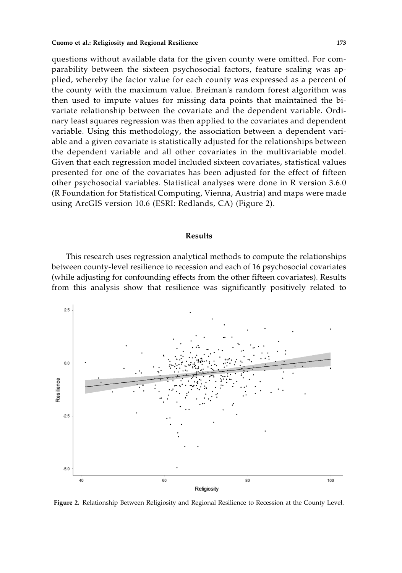questions without available data for the given county were omitted. For comparability between the sixteen psychosocial factors, feature scaling was applied, whereby the factor value for each county was expressed as a percent of the county with the maximum value. Breiman's random forest algorithm was then used to impute values for missing data points that maintained the bivariate relationship between the covariate and the dependent variable. Ordinary least squares regression was then applied to the covariates and dependent variable. Using this methodology, the association between a dependent variable and a given covariate is statistically adjusted for the relationships between the dependent variable and all other covariates in the multivariable model. Given that each regression model included sixteen covariates, statistical values presented for one of the covariates has been adjusted for the effect of fifteen other psychosocial variables. Statistical analyses were done in R version 3.6.0 (R Foundation for Statistical Computing, Vienna, Austria) and maps were made using ArcGIS version 10.6 (ESRI: Redlands, CA) (Figure 2).

#### Results

This research uses regression analytical methods to compute the relationships between county-level resilience to recession and each of 16 psychosocial covariates (while adjusting for confounding effects from the other fifteen covariates). Results from this analysis show that resilience was significantly positively related to



Figure 2. Relationship Between Religiosity and Regional Resilience to Recession at the County Level.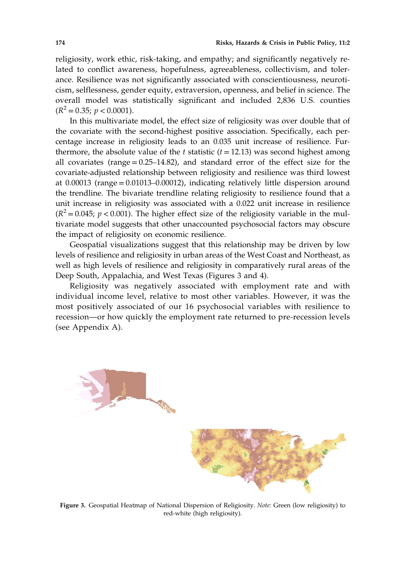religiosity, work ethic, risk‐taking, and empathy; and significantly negatively related to conflict awareness, hopefulness, agreeableness, collectivism, and tolerance. Resilience was not significantly associated with conscientiousness, neuroticism, selflessness, gender equity, extraversion, openness, and belief in science. The overall model was statistically significant and included 2,836 U.S. counties  $(R^2 = 0.35; p < 0.0001).$ 

In this multivariate model, the effect size of religiosity was over double that of the covariate with the second-highest positive association. Specifically, each percentage increase in religiosity leads to an 0.035 unit increase of resilience. Furthermore, the absolute value of the  $t$  statistic  $(t = 12.13)$  was second highest among all covariates (range  $= 0.25 - 14.82$ ), and standard error of the effect size for the covariate‐adjusted relationship between religiosity and resilience was third lowest at 0.00013 (range = 0.01013–0.00012), indicating relatively little dispersion around the trendline. The bivariate trendline relating religiosity to resilience found that a unit increase in religiosity was associated with a 0.022 unit increase in resilience  $(R^2 = 0.045; p < 0.001)$ . The higher effect size of the religiosity variable in the multivariate model suggests that other unaccounted psychosocial factors may obscure the impact of religiosity on economic resilience.

Geospatial visualizations suggest that this relationship may be driven by low levels of resilience and religiosity in urban areas of the West Coast and Northeast, as well as high levels of resilience and religiosity in comparatively rural areas of the Deep South, Appalachia, and West Texas (Figures 3 and 4).

Religiosity was negatively associated with employment rate and with individual income level, relative to most other variables. However, it was the most positively associated of our 16 psychosocial variables with resilience to recession—or how quickly the employment rate returned to pre-recession levels (see Appendix A).





Figure 3. Geospatial Heatmap of National Dispersion of Religiosity. Note: Green (low religiosity) to red‐white (high religiosity).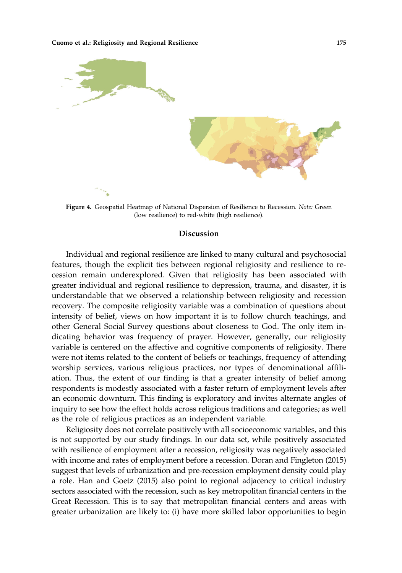

Figure 4. Geospatial Heatmap of National Dispersion of Resilience to Recession. Note: Green (low resilience) to red‐white (high resilience).

#### Discussion

Individual and regional resilience are linked to many cultural and psychosocial features, though the explicit ties between regional religiosity and resilience to recession remain underexplored. Given that religiosity has been associated with greater individual and regional resilience to depression, trauma, and disaster, it is understandable that we observed a relationship between religiosity and recession recovery. The composite religiosity variable was a combination of questions about intensity of belief, views on how important it is to follow church teachings, and other General Social Survey questions about closeness to God. The only item indicating behavior was frequency of prayer. However, generally, our religiosity variable is centered on the affective and cognitive components of religiosity. There were not items related to the content of beliefs or teachings, frequency of attending worship services, various religious practices, nor types of denominational affiliation. Thus, the extent of our finding is that a greater intensity of belief among respondents is modestly associated with a faster return of employment levels after an economic downturn. This finding is exploratory and invites alternate angles of inquiry to see how the effect holds across religious traditions and categories; as well as the role of religious practices as an independent variable.

Religiosity does not correlate positively with all socioeconomic variables, and this is not supported by our study findings. In our data set, while positively associated with resilience of employment after a recession, religiosity was negatively associated with income and rates of employment before a recession. Doran and Fingleton (2015) suggest that levels of urbanization and pre‐recession employment density could play a role. Han and Goetz (2015) also point to regional adjacency to critical industry sectors associated with the recession, such as key metropolitan financial centers in the Great Recession. This is to say that metropolitan financial centers and areas with greater urbanization are likely to: (i) have more skilled labor opportunities to begin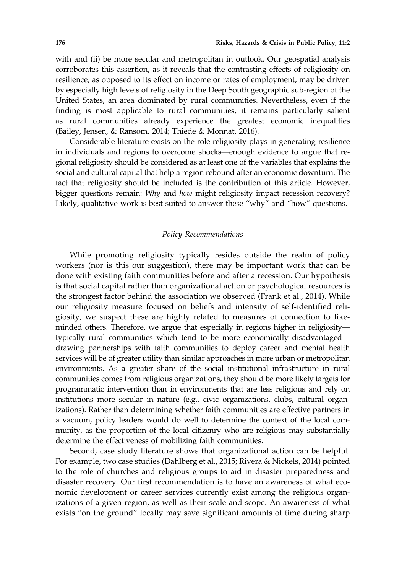with and (ii) be more secular and metropolitan in outlook. Our geospatial analysis corroborates this assertion, as it reveals that the contrasting effects of religiosity on resilience, as opposed to its effect on income or rates of employment, may be driven by especially high levels of religiosity in the Deep South geographic sub‐region of the United States, an area dominated by rural communities. Nevertheless, even if the finding is most applicable to rural communities, it remains particularly salient as rural communities already experience the greatest economic inequalities (Bailey, Jensen, & Ransom, 2014; Thiede & Monnat, 2016).

Considerable literature exists on the role religiosity plays in generating resilience in individuals and regions to overcome shocks—enough evidence to argue that regional religiosity should be considered as at least one of the variables that explains the social and cultural capital that help a region rebound after an economic downturn. The fact that religiosity should be included is the contribution of this article. However, bigger questions remain: Why and how might religiosity impact recession recovery? Likely, qualitative work is best suited to answer these "why" and "how" questions.

## Policy Recommendations

While promoting religiosity typically resides outside the realm of policy workers (nor is this our suggestion), there may be important work that can be done with existing faith communities before and after a recession. Our hypothesis is that social capital rather than organizational action or psychological resources is the strongest factor behind the association we observed (Frank et al., 2014). While our religiosity measure focused on beliefs and intensity of self‐identified religiosity, we suspect these are highly related to measures of connection to like‐ minded others. Therefore, we argue that especially in regions higher in religiosity typically rural communities which tend to be more economically disadvantaged drawing partnerships with faith communities to deploy career and mental health services will be of greater utility than similar approaches in more urban or metropolitan environments. As a greater share of the social institutional infrastructure in rural communities comes from religious organizations, they should be more likely targets for programmatic intervention than in environments that are less religious and rely on institutions more secular in nature (e.g., civic organizations, clubs, cultural organizations). Rather than determining whether faith communities are effective partners in a vacuum, policy leaders would do well to determine the context of the local community, as the proportion of the local citizenry who are religious may substantially determine the effectiveness of mobilizing faith communities.

Second, case study literature shows that organizational action can be helpful. For example, two case studies (Dahlberg et al., 2015; Rivera & Nickels, 2014) pointed to the role of churches and religious groups to aid in disaster preparedness and disaster recovery. Our first recommendation is to have an awareness of what economic development or career services currently exist among the religious organizations of a given region, as well as their scale and scope. An awareness of what exists "on the ground" locally may save significant amounts of time during sharp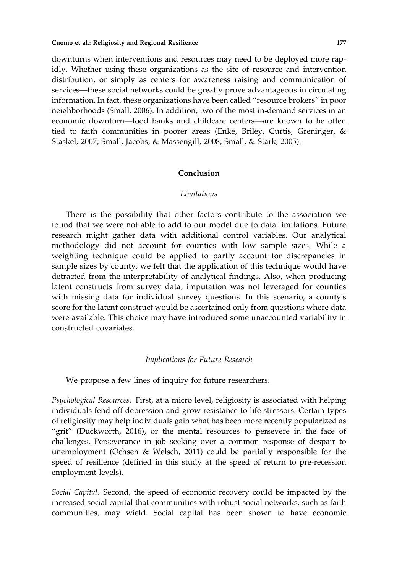downturns when interventions and resources may need to be deployed more rapidly. Whether using these organizations as the site of resource and intervention distribution, or simply as centers for awareness raising and communication of services—these social networks could be greatly prove advantageous in circulating information. In fact, these organizations have been called "resource brokers" in poor neighborhoods (Small, 2006). In addition, two of the most in‐demand services in an economic downturn—food banks and childcare centers—are known to be often tied to faith communities in poorer areas (Enke, Briley, Curtis, Greninger, & Staskel, 2007; Small, Jacobs, & Massengill, 2008; Small, & Stark, 2005).

#### Conclusion

### Limitations

There is the possibility that other factors contribute to the association we found that we were not able to add to our model due to data limitations. Future research might gather data with additional control variables. Our analytical methodology did not account for counties with low sample sizes. While a weighting technique could be applied to partly account for discrepancies in sample sizes by county, we felt that the application of this technique would have detracted from the interpretability of analytical findings. Also, when producing latent constructs from survey data, imputation was not leveraged for counties with missing data for individual survey questions. In this scenario, a county's score for the latent construct would be ascertained only from questions where data were available. This choice may have introduced some unaccounted variability in constructed covariates.

### Implications for Future Research

We propose a few lines of inquiry for future researchers.

Psychological Resources. First, at a micro level, religiosity is associated with helping individuals fend off depression and grow resistance to life stressors. Certain types of religiosity may help individuals gain what has been more recently popularized as "grit" (Duckworth, 2016), or the mental resources to persevere in the face of challenges. Perseverance in job seeking over a common response of despair to unemployment (Ochsen & Welsch, 2011) could be partially responsible for the speed of resilience (defined in this study at the speed of return to pre-recession employment levels).

Social Capital. Second, the speed of economic recovery could be impacted by the increased social capital that communities with robust social networks, such as faith communities, may wield. Social capital has been shown to have economic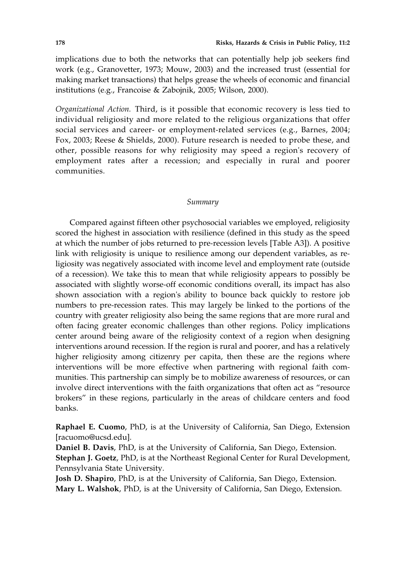implications due to both the networks that can potentially help job seekers find work (e.g., Granovetter, 1973; Mouw, 2003) and the increased trust (essential for making market transactions) that helps grease the wheels of economic and financial institutions (e.g., Francoise & Zabojnik, 2005; Wilson, 2000).

Organizational Action. Third, is it possible that economic recovery is less tied to individual religiosity and more related to the religious organizations that offer social services and career- or employment-related services (e.g., Barnes, 2004; Fox, 2003; Reese & Shields, 2000). Future research is needed to probe these, and other, possible reasons for why religiosity may speed a region's recovery of employment rates after a recession; and especially in rural and poorer communities.

# Summary

Compared against fifteen other psychosocial variables we employed, religiosity scored the highest in association with resilience (defined in this study as the speed at which the number of jobs returned to pre‐recession levels [Table A3]). A positive link with religiosity is unique to resilience among our dependent variables, as religiosity was negatively associated with income level and employment rate (outside of a recession). We take this to mean that while religiosity appears to possibly be associated with slightly worse‐off economic conditions overall, its impact has also shown association with a region's ability to bounce back quickly to restore job numbers to pre‐recession rates. This may largely be linked to the portions of the country with greater religiosity also being the same regions that are more rural and often facing greater economic challenges than other regions. Policy implications center around being aware of the religiosity context of a region when designing interventions around recession. If the region is rural and poorer, and has a relatively higher religiosity among citizenry per capita, then these are the regions where interventions will be more effective when partnering with regional faith communities. This partnership can simply be to mobilize awareness of resources, or can involve direct interventions with the faith organizations that often act as "resource brokers" in these regions, particularly in the areas of childcare centers and food banks.

Raphael E. Cuomo, PhD, is at the University of California, San Diego, Extension [racuomo@ucsd.edu].

Daniel B. Davis, PhD, is at the University of California, San Diego, Extension. Stephan J. Goetz, PhD, is at the Northeast Regional Center for Rural Development, Pennsylvania State University.

Josh D. Shapiro, PhD, is at the University of California, San Diego, Extension. Mary L. Walshok, PhD, is at the University of California, San Diego, Extension.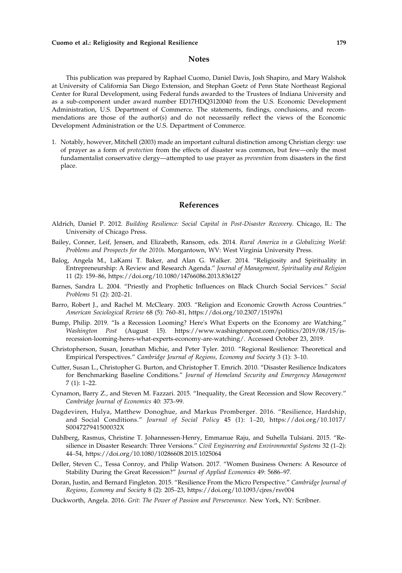#### **Notes**

This publication was prepared by Raphael Cuomo, Daniel Davis, Josh Shapiro, and Mary Walshok at University of California San Diego Extension, and Stephan Goetz of Penn State Northeast Regional Center for Rural Development, using Federal funds awarded to the Trustees of Indiana University and as a sub‐component under award number ED17HDQ3120040 from the U.S. Economic Development Administration, U.S. Department of Commerce. The statements, findings, conclusions, and recommendations are those of the author(s) and do not necessarily reflect the views of the Economic Development Administration or the U.S. Department of Commerce.

1. Notably, however, Mitchell (2003) made an important cultural distinction among Christian clergy: use of prayer as a form of protection from the effects of disaster was common, but few—only the most fundamentalist conservative clergy—attempted to use prayer as prevention from disasters in the first place.

# References

- Aldrich, Daniel P. 2012. Building Resilience: Social Capital in Post-Disaster Recovery. Chicago, IL: The University of Chicago Press.
- Bailey, Conner, Leif, Jensen, and Elizabeth, Ransom, eds. 2014. Rural America in a Globalizing World: Problems and Prospects for the 2010s. Morgantown, WV: West Virginia University Press.
- Balog, Angela M., LaKami T. Baker, and Alan G. Walker. 2014. "Religiosity and Spirituality in Entrepreneurship: A Review and Research Agenda." Journal of Management, Spirituality and Religion 11 (2): 159–86,<https://doi.org/10.1080/14766086.2013.836127>
- Barnes, Sandra L. 2004. "Priestly and Prophetic Influences on Black Church Social Services." Social Problems 51 (2): 202–21.
- Barro, Robert J., and Rachel M. McCleary. 2003. "Religion and Economic Growth Across Countries." American Sociological Review 68 (5): 760–81,<https://doi.org/10.2307/1519761>
- Bump, Philip. 2019. "Is a Recession Looming? Here's What Experts on the Economy are Watching." Washington Post (August 15). [https://www.washingtonpost.com/politics/2019/08/15/is](https://www.washingtonpost.com/politics/2019/08/15/is-recession-looming-heres-what-experts-economy-are-watching/)‐ recession‐looming‐heres‐what‐experts‐economy‐are‐[watching/](https://www.washingtonpost.com/politics/2019/08/15/is-recession-looming-heres-what-experts-economy-are-watching/). Accessed October 23, 2019.
- Christopherson, Susan, Jonathan Michie, and Peter Tyler. 2010. "Regional Resilience: Theoretical and Empirical Perspectives." Cambridge Journal of Regions, Economy and Society 3 (1): 3–10.
- Cutter, Susan L., Christopher G. Burton, and Christopher T. Emrich. 2010. "Disaster Resilience Indicators for Benchmarking Baseline Conditions." Journal of Homeland Security and Emergency Management 7 (1): 1–22.
- Cynamon, Barry Z., and Steven M. Fazzari. 2015. "Inequality, the Great Recession and Slow Recovery." Cambridge Journal of Economics 40: 373–99.
- Dagdeviren, Hulya, Matthew Donoghue, and Markus Promberger. 2016. "Resilience, Hardship, and Social Conditions." Journal of Social Policy 45 (1): 1–20, [https://doi.org/10.1017/](https://doi.org/10.1017/S004727941500032X) [S004727941500032X](https://doi.org/10.1017/S004727941500032X)
- Dahlberg, Rasmus, Christine T. Johannessen‐Henry, Emmanue Raju, and Suhella Tulsiani. 2015. "Resilience in Disaster Research: Three Versions." Civil Engineering and Environmental Systems 32 (1-2): 44–54,<https://doi.org/10.1080/10286608.2015.1025064>
- Deller, Steven C., Tessa Conroy, and Philip Watson. 2017. "Women Business Owners: A Resource of Stability During the Great Recession?" Journal of Applied Economics 49: 5686–97.
- Doran, Justin, and Bernard Fingleton. 2015. "Resilience From the Micro Perspective." Cambridge Journal of Regions, Economy and Society 8 (2): 205–23,<https://doi.org/10.1093/cjres/rsv004>
- Duckworth, Angela. 2016. Grit: The Power of Passion and Perseverance. New York, NY: Scribner.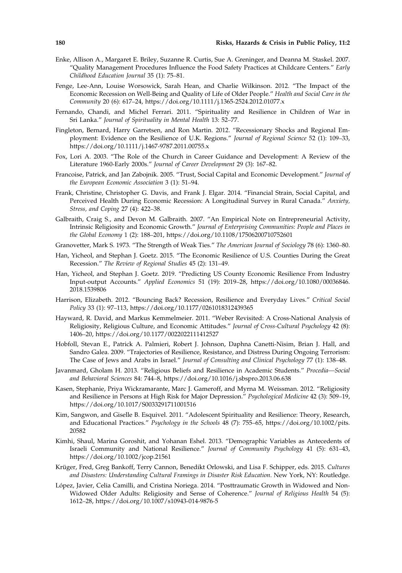- Enke, Allison A., Margaret E. Briley, Suzanne R. Curtis, Sue A. Greninger, and Deanna M. Staskel. 2007. "Quality Management Procedures Influence the Food Safety Practices at Childcare Centers." Early Childhood Education Journal 35 (1): 75–81.
- Fenge, Lee‐Ann, Louise Worsowick, Sarah Hean, and Charlie Wilkinson. 2012. "The Impact of the Economic Recession on Well-Being and Quality of Life of Older People." Health and Social Care in the Community 20 (6): 617–24, [https://doi.org/10.1111/j.1365](https://doi.org/10.1111/j.1365-2524.2012.01077.x)‐2524.2012.01077.x
- Fernando, Chandi, and Michel Ferrari. 2011. "Spirituality and Resilience in Children of War in Sri Lanka." Journal of Spirituality in Mental Health 13: 52–77.
- Fingleton, Bernard, Harry Garretsen, and Ron Martin. 2012. "Recessionary Shocks and Regional Employment: Evidence on the Resilience of U.K. Regions." Journal of Regional Science 52 (1): 109-33, [https://doi.org/10.1111/j.1467](https://doi.org/10.1111/j.1467-9787.2011.00755.x)‐9787.2011.00755.x
- Fox, Lori A. 2003. "The Role of the Church in Career Guidance and Development: A Review of the Literature 1960‐Early 2000s." Journal of Career Development 29 (3): 167–82.
- Francoise, Patrick, and Jan Zabojnik. 2005. "Trust, Social Capital and Economic Development." Journal of the European Economic Association 3 (1): 51–94.
- Frank, Christine, Christopher G. Davis, and Frank J. Elgar. 2014. "Financial Strain, Social Capital, and Perceived Health During Economic Recession: A Longitudinal Survey in Rural Canada." Anxiety, Stress, and Coping 27 (4): 422–38.
- Galbraith, Craig S., and Devon M. Galbraith. 2007. "An Empirical Note on Entrepreneurial Activity, Intrinsic Religiosity and Economic Growth." Journal of Enterprising Communities: People and Places in the Global Economy 1 (2): 188–201,<https://doi.org/10.1108/17506200710752601>
- Granovetter, Mark S. 1973. "The Strength of Weak Ties." The American Journal of Sociology 78 (6): 1360–80.
- Han, Yicheol, and Stephan J. Goetz. 2015. "The Economic Resilience of U.S. Counties During the Great Recession." The Review of Regional Studies 45 (2): 131–49.
- Han, Yicheol, and Stephan J. Goetz. 2019. "Predicting US County Economic Resilience From Industry Input‐output Accounts." Applied Economics 51 (19): 2019–28, [https://doi.org/10.1080/00036846.](https://doi.org/10.1080/00036846.2018.1539806) [2018.1539806](https://doi.org/10.1080/00036846.2018.1539806)
- Harrison, Elizabeth. 2012. "Bouncing Back? Recession, Resilience and Everyday Lives." Critical Social Policy 33 (1): 97–113,<https://doi.org/10.1177/0261018312439365>
- Hayward, R. David, and Markus Kemmelmeier. 2011. "Weber Revisited: A Cross‐National Analysis of Religiosity, Religious Culture, and Economic Attitudes." Journal of Cross-Cultural Psychology 42 (8): 1406–20,<https://doi.org/10.1177/0022022111412527>
- Hobfoll, Stevan E., Patrick A. Palmieri, Robert J. Johnson, Daphna Canetti‐Nisim, Brian J. Hall, and Sandro Galea. 2009. "Trajectories of Resilience, Resistance, and Distress During Ongoing Terrorism: The Case of Jews and Arabs in Israel." Journal of Consulting and Clinical Psychology 77 (1): 138–48.
- Javanmard, Gholam H. 2013. "Religious Beliefs and Resilience in Academic Students." Procedia—Social and Behavioral Sciences 84: 744–8,<https://doi.org/10.1016/j.sbspro.2013.06.638>
- Kasen, Stephanie, Priya Wickramarante, Marc J. Gameroff, and Myrna M. Weissman. 2012. "Religiosity and Resilience in Persons at High Risk for Major Depression." Psychological Medicine 42 (3): 509–19, <https://doi.org/10.1017/S0033291711001516>
- Kim, Sangwon, and Giselle B. Esquivel. 2011. "Adolescent Spirituality and Resilience: Theory, Research, and Educational Practices." Psychology in the Schools 48 (7): 755-65, [https://doi.org/10.1002/pits.](https://doi.org/10.1002/pits.20582) [20582](https://doi.org/10.1002/pits.20582)
- Kimhi, Shaul, Marina Goroshit, and Yohanan Eshel. 2013. "Demographic Variables as Antecedents of Israeli Community and National Resilience." Journal of Community Psychology 41 (5): 631–43, <https://doi.org/10.1002/jcop.21561>
- Krüger, Fred, Greg Bankoff, Terry Cannon, Benedikt Orlowski, and Lisa F. Schipper, eds. 2015. Cultures and Disasters: Understanding Cultural Framings in Disaster Risk Education. New York, NY: Routledge.
- López, Javier, Celia Camilli, and Cristina Noriega. 2014. "Posttraumatic Growth in Widowed and Non‐ Widowed Older Adults: Religiosity and Sense of Coherence." Journal of Religious Health 54 (5): 1612–28, [https://doi.org/10.1007/s10943](https://doi.org/10.1007/s10943-014-9876-5)‐014‐9876‐5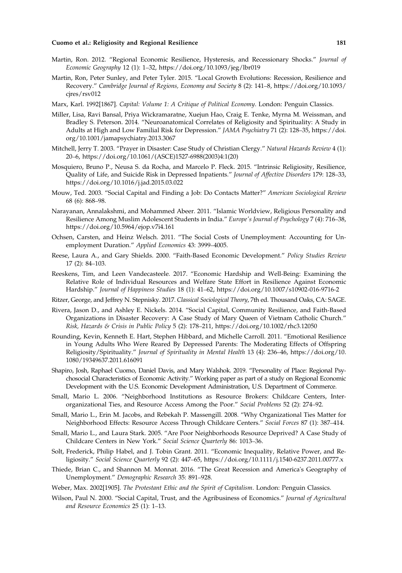#### Cuomo et al.: Religiosity and Regional Resilience 181

- Martin, Ron. 2012. "Regional Economic Resilience, Hysteresis, and Recessionary Shocks." Journal of Economic Geography 12 (1): 1–32,<https://doi.org/10.1093/jeg/lbr019>
- Martin, Ron, Peter Sunley, and Peter Tyler. 2015. "Local Growth Evolutions: Recession, Resilience and Recovery." Cambridge Journal of Regions, Economy and Society 8 (2): 141–8, [https://doi.org/10.1093/](https://doi.org/10.1093/cjres/rsv012) [cjres/rsv012](https://doi.org/10.1093/cjres/rsv012)
- Marx, Karl. 1992[1867]. Capital: Volume 1: A Critique of Political Economy. London: Penguin Classics.
- Miller, Lisa, Ravi Bansal, Priya Wickramaratne, Xuejun Hao, Craig E. Tenke, Myrna M. Weissman, and Bradley S. Peterson. 2014. "Neuroanatomical Correlates of Religiosity and Spirituality: A Study in Adults at High and Low Familial Risk for Depression." JAMA Psychiatry 71 (2): 128–35, [https://doi.](https://doi.org/10.1001/jamapsychiatry.2013.3067) [org/10.1001/jamapsychiatry.2013.3067](https://doi.org/10.1001/jamapsychiatry.2013.3067)
- Mitchell, Jerry T. 2003. "Prayer in Disaster: Case Study of Christian Clergy." Natural Hazards Review 4 (1): 20–6, [https://doi.org/10.1061/\(ASCE\)1527](https://doi.org/10.1061/(ASCE)1527-6988(2003)4:1(20))‐6988(2003)4:1(20)
- Mosquiero, Bruno P., Neusa S. da Rocha, and Marcelo P. Fleck. 2015. "Intrinsic Religiosity, Resilience, Quality of Life, and Suicide Risk in Depressed Inpatients." Journal of Affective Disorders 179: 128–33, <https://doi.org/10.1016/j.jad.2015.03.022>
- Mouw, Ted. 2003. "Social Capital and Finding a Job: Do Contacts Matter?" American Sociological Review 68 (6): 868–98.
- Narayanan, Annalakshmi, and Mohammed Abeer. 2011. "Islamic Worldview, Religious Personality and Resilience Among Muslim Adolescent Students in India." Europe's Journal of Psychology 7 (4): 716–38, <https://doi.org/10.5964/ejop.v7i4.161>
- Ochsen, Carsten, and Heinz Welsch. 2011. "The Social Costs of Unemployment: Accounting for Unemployment Duration." Applied Economics 43: 3999–4005.
- Reese, Laura A., and Gary Shields. 2000. "Faith-Based Economic Development." Policy Studies Review 17 (2): 84–103.
- Reeskens, Tim, and Leen Vandecasteele. 2017. "Economic Hardship and Well‐Being: Examining the Relative Role of Individual Resources and Welfare State Effort in Resilience Against Economic Hardship." Journal of Happiness Studies 18 (1): 41–62, [https://doi.org/10.1007/s10902](https://doi.org/10.1007/s10902-016-9716-2)‐016‐9716‐2
- Ritzer, George, and Jeffrey N. Stepnisky. 2017. Classical Sociological Theory, 7th ed. Thousand Oaks, CA: SAGE.
- Rivera, Jason D., and Ashley E. Nickels. 2014. "Social Capital, Community Resilience, and Faith‐Based Organizations in Disaster Recovery: A Case Study of Mary Queen of Vietnam Catholic Church." Risk, Hazards & Crisis in Public Policy 5 (2): 178–211,<https://doi.org/10.1002/rhc3.12050>
- Rounding, Kevin, Kenneth E. Hart, Stephen Hibbard, and Michelle Carroll. 2011. "Emotional Resilience in Young Adults Who Were Reared By Depressed Parents: The Moderating Effects of Offspring Religiosity/Spirituality." Journal of Spirituality in Mental Health 13 (4): 236–46, [https://doi.org/10.](https://doi.org/10.1080/19349637.2011.616091) [1080/19349637.2011.616091](https://doi.org/10.1080/19349637.2011.616091)
- Shapiro, Josh, Raphael Cuomo, Daniel Davis, and Mary Walshok. 2019. "Personality of Place: Regional Psychosocial Characteristics of Economic Activity." Working paper as part of a study on Regional Economic Development with the U.S. Economic Development Administration, U.S. Department of Commerce.
- Small, Mario L. 2006. "Neighborhood Institutions as Resource Brokers: Childcare Centers, Interorganizational Ties, and Resource Access Among the Poor." Social Problems 52 (2): 274–92.
- Small, Mario L., Erin M. Jacobs, and Rebekah P. Massengill. 2008. "Why Organizational Ties Matter for Neighborhood Effects: Resource Access Through Childcare Centers." Social Forces 87 (1): 387–414.
- Small, Mario L., and Laura Stark. 2005. "Are Poor Neighborhoods Resource Deprived? A Case Study of Childcare Centers in New York." Social Science Quarterly 86: 1013–36.
- Solt, Frederick, Philip Habel, and J. Tobin Grant. 2011. "Economic Inequality, Relative Power, and Religiosity." Social Science Quarterly 92 (2): 447–65, [https://doi.org/10.1111/j.1540](https://doi.org/10.1111/j.1540-6237.2011.00777.x)‐6237.2011.00777.x
- Thiede, Brian C., and Shannon M. Monnat. 2016. "The Great Recession and America's Geography of Unemployment." Demographic Research 35: 891–928.
- Weber, Max. 2002[1905]. The Protestant Ethic and the Spirit of Capitalism. London: Penguin Classics.
- Wilson, Paul N. 2000. "Social Capital, Trust, and the Agribusiness of Economics." Journal of Agricultural and Resource Economics 25 (1): 1–13.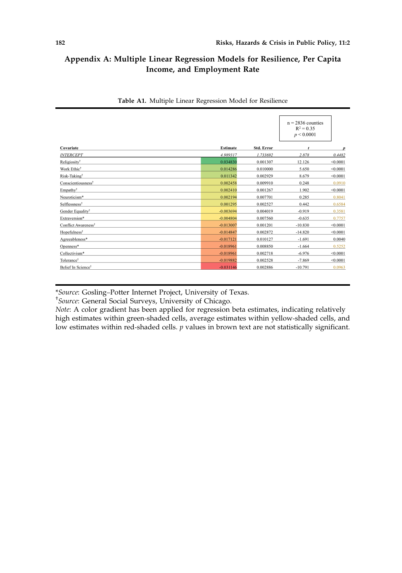# Appendix A: Multiple Linear Regression Models for Resilience, Per Capita Income, and Employment Rate

|                                 |                 |                   | $n = 2836$ counties<br>$R^2 = 0.35$<br>p < 0.0001 |                  |
|---------------------------------|-----------------|-------------------|---------------------------------------------------|------------------|
| Covariate                       | <b>Estimate</b> | <b>Std. Error</b> | $\mathbf{r}$                                      | $\boldsymbol{p}$ |
| <b>INTERCEPT</b>                | 4.989317        | 1.733692          | 2.878                                             | 0.4482           |
| Religiosity <sup>†</sup>        | 0.034830        | 0.001307          | 12.126                                            | < 0.0001         |
| Work Ethic <sup>†</sup>         | 0.014286        | 0.010000          | 5.650                                             | < 0.0001         |
| Risk-Taking <sup>†</sup>        | 0.011342        | 0.002929          | 8.679                                             | < 0.0001         |
| Conscientiousness <sup>†</sup>  | 0.002458        | 0.009910          | 0.248                                             | 0.0910           |
| Empathy <sup>†</sup>            | 0.002410        | 0.001267          | 1.902                                             | < 0.0001         |
| Neuroticism*                    | 0.002194        | 0.007701          | 0.285                                             | 0.8041           |
| Selflessness <sup>†</sup>       | 0.001295        | 0.002527          | 0.442                                             | 0.6584           |
| Gender Equality <sup>†</sup>    | $-0.003694$     | 0.004019          | $-0.919$                                          | 0.3581           |
| Extraversion*                   | $-0.004804$     | 0.007560          | $-0.635$                                          | 0.7757           |
| Conflict Awareness <sup>†</sup> | $-0.013007$     | 0.001201          | $-10.830$                                         | < 0.0001         |
| Hopefulness <sup>†</sup>        | $-0.014847$     | 0.002872          | $-14.820$                                         | < 0.0001         |
| Agreeableness*                  | $-0.017121$     | 0.010127          | $-1.691$                                          | 0.0040           |
| Openness*                       | $-0.018961$     | 0.008850          | $-1.664$                                          | 0.5252           |
| Collectivism*                   | $-0.018961$     | 0.002718          | $-6.976$                                          | < 0.0001         |
| Tolerance <sup>†</sup>          | $-0.019882$     | 0.002528          | $-7.869$                                          | < 0.0001         |
| Belief In Science <sup>†</sup>  | $-0.031146$     | 0.002886          | $-10.791$                                         | 0.0963           |

#### Table A1. Multiple Linear Regression Model for Resilience

\*Source: Gosling–Potter Internet Project, University of Texas. †

Source: General Social Surveys, University of Chicago.

Note: A color gradient has been applied for regression beta estimates, indicating relatively high estimates within green‐shaded cells, average estimates within yellow‐shaded cells, and low estimates within red-shaded cells.  $p$  values in brown text are not statistically significant.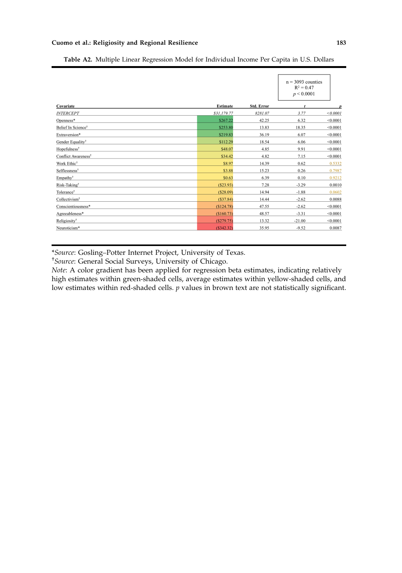## Cuomo et al.: Religiosity and Regional Resilience 183

|                                 |                 |            | $n = 3093$ counties<br>$R^2 = 0.47$<br>p < 0.0001 |                  |
|---------------------------------|-----------------|------------|---------------------------------------------------|------------------|
| Covariate                       | <b>Estimate</b> | Std. Error |                                                   | $\boldsymbol{p}$ |
| <b>INTERCEPT</b>                | \$31,179.77     | 8281.07    | 3.77                                              | < 0.0001         |
| Openness*                       | \$267.22        | 42.25      | 6.32                                              | < 0.0001         |
| Belief In Science <sup>†</sup>  | \$253.80        | 13.83      | 18.35                                             | < 0.0001         |
| Extraversion*                   | \$219.83        | 36.19      | 6.07                                              | < 0.0001         |
| Gender Equality <sup>†</sup>    | \$112.29        | 18.54      | 6.06                                              | < 0.0001         |
| Hopefulness <sup>†</sup>        | \$48.07         | 4.85       | 9.91                                              | < 0.0001         |
| Conflict Awareness <sup>†</sup> | \$34.42         | 4.82       | 7.15                                              | < 0.0001         |
| Work Ethic <sup>†</sup>         | \$8.97          | 14.39      | 0.62                                              | 0.5332           |
| Selflessness <sup>†</sup>       | \$3.88          | 15.23      | 0.26                                              | 0.7987           |
| Empathy <sup>†</sup>            | \$0.63          | 6.39       | 0.10                                              | 0.9212           |
| Risk-Taking <sup>†</sup>        | (S23.93)        | 7.28       | $-3.29$                                           | 0.0010           |
| Tolerance <sup>†</sup>          | (S28.09)        | 14.94      | $-1.88$                                           | 0.0602           |
| Collectivism <sup>†</sup>       | (S37.84)        | 14.44      | $-2.62$                                           | 0.0088           |
| Conscientiousness*              | (S124.78)       | 47.55      | $-2.62$                                           | < 0.0001         |
| Agreeableness*                  | (S160.73)       | 48.57      | $-3.31$                                           | < 0.0001         |
| Religiosity <sup>†</sup>        | (S279.75)       | 13.32      | $-21.00$                                          | < 0.0001         |
| Neuroticism*                    | (S342.32)       | 35.95      | $-9.52$                                           | 0.0087           |

Table A2. Multiple Linear Regression Model for Individual Income Per Capita in U.S. Dollars

\*Source: Gosling–Potter Internet Project, University of Texas. †

<sup>+</sup>Source: General Social Surveys, University of Chicago.

Note: A color gradient has been applied for regression beta estimates, indicating relatively high estimates within green‐shaded cells, average estimates within yellow‐shaded cells, and low estimates within red-shaded cells.  $p$  values in brown text are not statistically significant.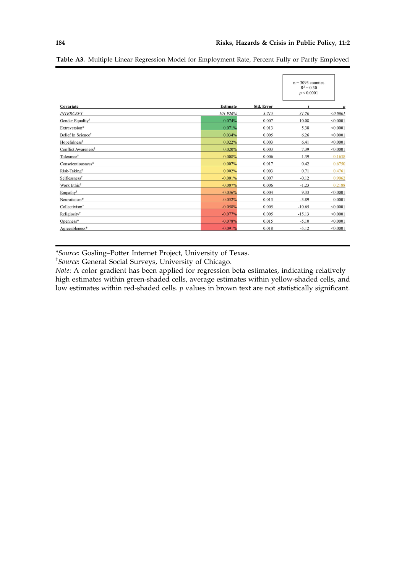|                                 |                 |                   | $n = 3093$ counties<br>$R^2 = 0.30$<br>p < 0.0001 |                  |
|---------------------------------|-----------------|-------------------|---------------------------------------------------|------------------|
| Covariate                       | <b>Estimate</b> | <b>Std. Error</b> |                                                   | $\boldsymbol{D}$ |
| <b>INTERCEPT</b>                | 101.926%        | 3.215             | 31.70                                             | < 0.0001         |
| Gender Equality <sup>†</sup>    | 0.074%          | 0.007             | 10.08                                             | < 0.0001         |
| Extraversion*                   | 0.071%          | 0.013             | 5.38                                              | < 0.0001         |
| Belief In Science <sup>†</sup>  | 0.034%          | 0.005             | 6.26                                              | < 0.0001         |
| Hopefulness <sup>†</sup>        | 0.022%          | 0.003             | 6.41                                              | < 0.0001         |
| Conflict Awareness <sup>†</sup> | 0.020%          | 0.003             | 7.39                                              | < 0.0001         |
| Tolerance <sup>†</sup>          | 0.008%          | 0.006             | 1.39                                              | 0.1638           |
| Conscientiousness*              | 0.007%          | 0.017             | 0.42                                              | 0.6750           |
| Risk-Taking <sup>†</sup>        | 0.002%          | 0.003             | 0.71                                              | 0.4761           |
| Selflessness <sup>†</sup>       | $-0.001%$       | 0.007             | $-0.12$                                           | 0.9062           |
| Work Ethic <sup>†</sup>         | $-0.007%$       | 0.006             | $-1.23$                                           | 0.2188           |
| Empathy <sup>†</sup>            | $-0.036%$       | 0.004             | 9.33                                              | < 0.0001         |
| Neuroticism*                    | $-0.052%$       | 0.013             | $-3.89$                                           | 0.0001           |
| Collectivism <sup>†</sup>       | $-0.058%$       | 0.005             | $-10.65$                                          | < 0.0001         |
| Religiosity <sup>†</sup>        | $-0.077%$       | 0.005             | $-15.13$                                          | < 0.0001         |
| Openness*                       | $-0.078%$       | 0.015             | $-5.10$                                           | < 0.0001         |
| Agreeableness*                  | $-0.091%$       | 0.018             | $-5.12$                                           | < 0.0001         |

Table A3. Multiple Linear Regression Model for Employment Rate, Percent Fully or Partly Employed

\*Source: Gosling–Potter Internet Project, University of Texas. †

Source: General Social Surveys, University of Chicago.

Note: A color gradient has been applied for regression beta estimates, indicating relatively high estimates within green‐shaded cells, average estimates within yellow‐shaded cells, and low estimates within red-shaded cells.  $p$  values in brown text are not statistically significant.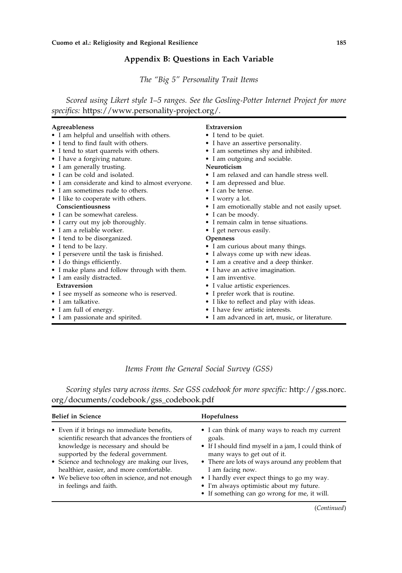# Appendix B: Questions in Each Variable

The "Big 5" Personality Trait Items

Scored using Likert style 1–5 ranges. See the Gosling‐Potter Internet Project for more specifics: [https://www.personality](https://www.personality-project.org/)‐project.org/.

| Agreeableness                                   | Extraversion                                    |
|-------------------------------------------------|-------------------------------------------------|
| • I am helpful and unselfish with others.       | • I tend to be quiet.                           |
| • I tend to find fault with others.             | • I have an assertive personality.              |
| • I tend to start quarrels with others.         | • I am sometimes shy and inhibited.             |
| • I have a forgiving nature.                    | • I am outgoing and sociable.                   |
| • I am generally trusting.                      | Neuroticism                                     |
| • I can be cold and isolated.                   | • I am relaxed and can handle stress well.      |
| • I am considerate and kind to almost everyone. | • I am depressed and blue.                      |
| • I am sometimes rude to others.                | • I can be tense.                               |
| • I like to cooperate with others.              | $\bullet$ I worry a lot.                        |
| Conscientiousness                               | • I am emotionally stable and not easily upset. |
| • I can be somewhat careless.                   | • I can be moody.                               |
| • I carry out my job thoroughly.                | • I remain calm in tense situations.            |
| • I am a reliable worker.                       | • I get nervous easily.                         |
| • I tend to be disorganized.                    | <b>Openness</b>                                 |
| • I tend to be lazy.                            | • I am curious about many things.               |
| • I persevere until the task is finished.       | • I always come up with new ideas.              |
| • I do things efficiently.                      | • I am a creative and a deep thinker.           |
| • I make plans and follow through with them.    | • I have an active imagination.                 |
| • I am easily distracted.                       | • I am inventive.                               |
| Extraversion                                    | • I value artistic experiences.                 |
| • I see myself as someone who is reserved.      | • I prefer work that is routine.                |
| • I am talkative.                               | • I like to reflect and play with ideas.        |
| • I am full of energy.                          | • I have few artistic interests.                |
| • I am passionate and spirited.                 | • I am advanced in art, music, or literature.   |
|                                                 |                                                 |

# Items From the General Social Survey (GSS)

Scoring styles vary across items. See GSS codebook for more specific: [http://gss.norc.](http://gss.norc.org/documents/codebook/gss_codebook.pdf) [org/documents/codebook/gss\\_codebook.pdf](http://gss.norc.org/documents/codebook/gss_codebook.pdf)

| <b>Belief in Science</b>                                                                                                                                                                                                                                                                                                                                      | Hopefulness                                                                                                                                                                                                                                                                                                                                                        |  |  |
|---------------------------------------------------------------------------------------------------------------------------------------------------------------------------------------------------------------------------------------------------------------------------------------------------------------------------------------------------------------|--------------------------------------------------------------------------------------------------------------------------------------------------------------------------------------------------------------------------------------------------------------------------------------------------------------------------------------------------------------------|--|--|
| • Even if it brings no immediate benefits,<br>scientific research that advances the frontiers of<br>knowledge is necessary and should be<br>supported by the federal government.<br>• Science and technology are making our lives,<br>healthier, easier, and more comfortable.<br>• We believe too often in science, and not enough<br>in feelings and faith. | • I can think of many ways to reach my current<br>goals.<br>• If I should find myself in a jam, I could think of<br>many ways to get out of it.<br>• There are lots of ways around any problem that<br>I am facing now.<br>• I hardly ever expect things to go my way.<br>• I'm always optimistic about my future.<br>• If something can go wrong for me, it will. |  |  |

(Continued)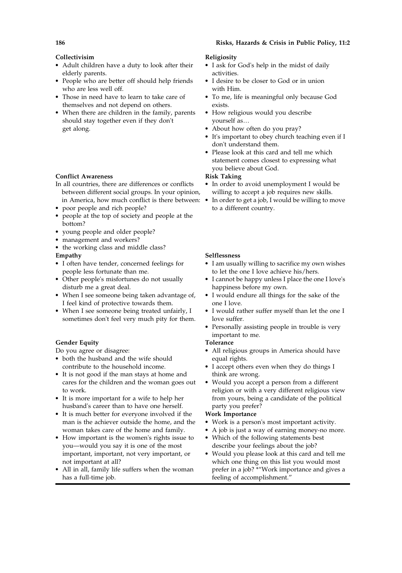#### Collectivisim Religiosity

- Adult children have a duty to look after their elderly parents.
- People who are better off should help friends who are less well off.
- Those in need have to learn to take care of themselves and not depend on others.
- When there are children in the family, parents should stay together even if they don't get along.

#### Conflict Awareness Risk Taking

- In all countries, there are differences or conflicts between different social groups. In your opinion, in America, how much conflict is there between:  $\bullet$
- poor people and rich people?
- people at the top of society and people at the bottom?
- young people and older people?
- management and workers?
- the working class and middle class? Empathy Selflessness
- I often have tender, concerned feelings for people less fortunate than me.
- Other people's misfortunes do not usually disturb me a great deal.
- When I see someone being taken advantage of, I feel kind of protective towards them.
- When I see someone being treated unfairly, I sometimes don't feel very much pity for them.

#### Gender Equity Tolerance

Do you agree or disagree:

- both the husband and the wife should contribute to the household income.
- It is not good if the man stays at home and cares for the children and the woman goes out to work.
- It is more important for a wife to help her husband's career than to have one herself.
- It is much better for everyone involved if the man is the achiever outside the home, and the woman takes care of the home and family.
- How important is the women's rights issue to you—would you say it is one of the most important, important, not very important, or not important at all?
- All in all, family life suffers when the woman has a full-time job.

- I ask for God's help in the midst of daily activities.
- I desire to be closer to God or in union with Him.
- To me, life is meaningful only because God exists.
- How religious would you describe yourself as…
- About how often do you pray?
- It's important to obey church teaching even if I don't understand them.
- Please look at this card and tell me which statement comes closest to expressing what you believe about God.

- In order to avoid unemployment I would be willing to accept a job requires new skills.
- In order to get a job, I would be willing to move to a different country.

- I am usually willing to sacrifice my own wishes to let the one I love achieve his/hers.
- I cannot be happy unless I place the one I love's happiness before my own.
- I would endure all things for the sake of the one I love.
- I would rather suffer myself than let the one I love suffer.
- Personally assisting people in trouble is very important to me.

- All religious groups in America should have equal rights.
- I accept others even when they do things I think are wrong.
- Would you accept a person from a different religion or with a very different religious view from yours, being a candidate of the political party you prefer?

#### Work Importance

- Work is a person's most important activity.
- A job is just a way of earning money‐no more.
- Which of the following statements best describe your feelings about the job?
- Would you please look at this card and tell me which one thing on this list you would most prefer in a job? \*"Work importance and gives a feeling of accomplishment."